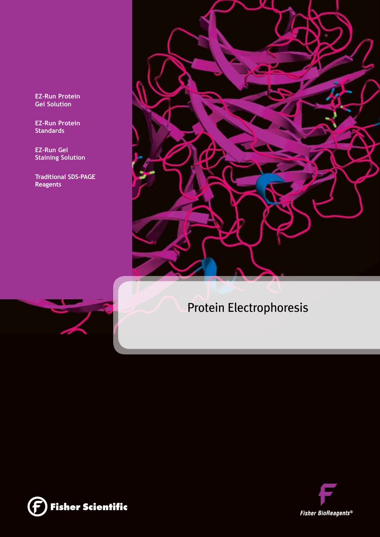**EZ-Run Protein Gel Solution** 

**EZ-Run Protein Standards**

**EZ-Run Gel Staining Solution** 

**Traditional SDS-Page Reagents**





# Protein Electrophoresis



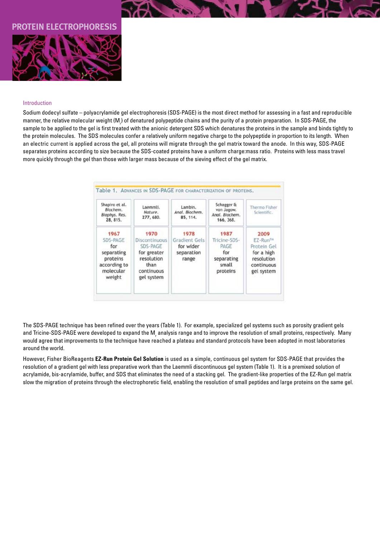# **PHORESIS**



### Introduction

Sodium dodecyl sulfate – polyacrylamide gel electrophoresis (SDS-PAGE) is the most direct method for assessing in a fast and reproducible manner, the relative molecular weight (M<sub>r</sub>) of denatured polypeptide chains and the purity of a protein preparation. In SDS-PAGE, the sample to be applied to the gel is first treated with the anionic detergent SDS which denatures the proteins in the sample and binds tightly to the protein molecules. The SDS molecules confer a relatively uniform negative charge to the polypeptide in proportion to its length. When an electric current is applied across the gel, all proteins will migrate through the gel matrix toward the anode. In this way, SDS-PAGE separates proteins according to size because the SDS-coated proteins have a uniform charge:mass ratio. Proteins with less mass travel more quickly through the gel than those with larger mass because of the sieving effect of the gel matrix.

| Shapiro et al.<br>Biochem.<br>Biophys. Res.<br>28, 815.                                  | Laemmli.<br>Nature.<br>277, 680.                                                                   | Lambin.<br>Anal. Biochem.<br>85, 114.                     | Schagger &<br>von Jagow.<br>Anal. Biochem.<br>166, 368.                | Thermo Fisher<br>Scientific.                                                                        |
|------------------------------------------------------------------------------------------|----------------------------------------------------------------------------------------------------|-----------------------------------------------------------|------------------------------------------------------------------------|-----------------------------------------------------------------------------------------------------|
| 1967<br>SDS-PAGE<br>for<br>separating<br>proteins<br>according to<br>molecular<br>weight | 1970<br>Discontinuous<br>SDS-PAGE<br>for greater<br>resolution<br>than<br>contínuous<br>gel system | 1978<br>Gradient Gels<br>for wider<br>separation<br>range | 1987<br>Tricine-SDS-<br>PAGE<br>for<br>separating<br>small<br>proteins | 2009<br>EZ-Run <sup>tw</sup><br>Protein Gel<br>for a high<br>resolution<br>continuous<br>gel system |

The SDS-PAGE technique has been refined over the years (Table 1). For example, specialized gel systems such as porosity gradient gels and Tricine-SDS-PAGE were developed to expand the M<sub>,</sub> analysis range and to improve the resolution of small proteins, respectively. Many would agree that improvements to the technique have reached a plateau and standard protocols have been adopted in most laboratories around the world.

However, Fisher BioReagents **EZ-Run Protein Gel Solution** is used as a simple, continuous gel system for SDS-PAGE that provides the resolution of a gradient gel with less preparative work than the Laemmli discontinuous gel system (Table 1). It is a premixed solution of acrylamide, bis-acrylamide, buffer, and SDS that eliminates the need of a stacking gel. The gradient-like properties of the EZ-Run gel matrix slow the migration of proteins through the electrophoretic field, enabling the resolution of small peptides and large proteins on the same gel.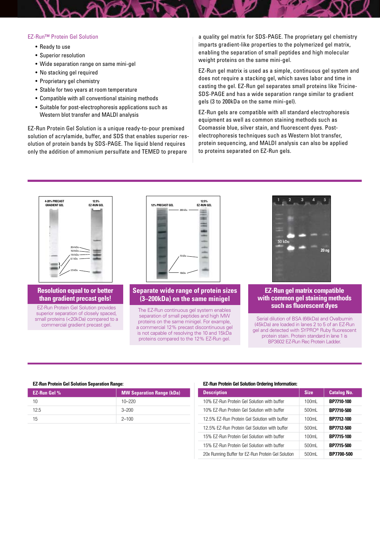#### EZ-Run™ Protein Gel Solution

- Ready to use
- Superior resolution
- • Wide separation range on same mini-gel
- No stacking gel required
- Proprietary gel chemistry
- Stable for two years at room temperature
- Compatible with all conventional staining methods
- Suitable for post-electrophoresis applications such as Western blot transfer and MALDI analysis

EZ-Run Protein Gel Solution is a unique ready-to-pour premixed solution of acrylamide, buffer, and SDS that enables superior resolution of protein bands by SDS-PAGE. The liquid blend requires only the addition of ammonium persulfate and TEMED to prepare

a quality gel matrix for SDS-PAGE. The proprietary gel chemistry imparts gradient-like properties to the polymerized gel matrix, enabling the separation of small peptides and high molecular weight proteins on the same mini-gel.

EZ-Run gel matrix is used as a simple, continuous gel system and does not require a stacking gel, which saves labor and time in casting the gel. EZ-Run gel separates small proteins like Tricine-SDS-PAGE and has a wide separation range similar to gradient gels (3 to 200kDa on the same mini-gel).

EZ-Run gels are compatible with all standard electrophoresis equipment as well as common staining methods such as Coomassie blue, silver stain, and fluorescent dyes. Postelectrophoresis techniques such as Western blot transfer, protein sequencing, and MALDI analysis can also be applied to proteins separated on EZ-Run gels.



## **Resolution equal to or better than gradient precast gels!**

EZ-Run Protein Gel Solution provides superior separation of closely spaced. small proteins (<20kDa) compared to a commercial gradient precast gel.



# **Separate wide range of protein sizes (3–200kDa) on the same minigel**

The EZ-Run continuous gel system enables separation of small peptides and high MW proteins on the same minigel. For example, a commercial 12% precast discontinuous gel is not capable of resolving the 10 and 15kDa proteins compared to the 12% EZ-Run gel.



## **EZ-Run gel matrix compatible with common gel staining methods such as fluorescent dyes**

Serial dilution of BSA (66kDa) and Ovalbumin (45kDa) are loaded in lanes 2 to 5 of an EZ-Run gel and detected with SYPRO® Ruby fluorescent protein stain. Protein standard in lane 1 is BP3602 EZ-Run Rec Protein Ladder.

### **EZ-Run Protein Gel Solution Separation Range:**

| <b>EZ-Run Gel %</b> | <b>MW Separation Range (kDa)</b> |
|---------------------|----------------------------------|
| 10                  | $10 - 220$                       |
| 12.5                | $-200$                           |
| 15                  | $2 - 100$                        |

#### EZ-Run Protein Gel Solution Ordering Information:

| <b>Description</b>                                 | <b>Size</b> | <b>Catalog No.</b> |
|----------------------------------------------------|-------------|--------------------|
| 10% EZ-Run Protein Gel Solution with buffer        | 100ml       | BP7710-100         |
| 10% EZ-Run Protein Gel Solution with buffer        | 500ml       | BP7710-500         |
| 12.5% EZ-Run Protein Gel Solution with buffer      | 100ml       | BP7712-100         |
| 12.5% EZ-Run Protein Gel Solution with buffer      | 500ml       | BP7712-500         |
| 15% EZ-Run Protein Gel Solution with buffer        | 100ml       | BP7715-100         |
| 15% EZ-Run Protein Gel Solution with buffer        | 500ml       | BP7715-500         |
| 20x Running Buffer for EZ-Run Protein Gel Solution | 500mL       | BP7700-500         |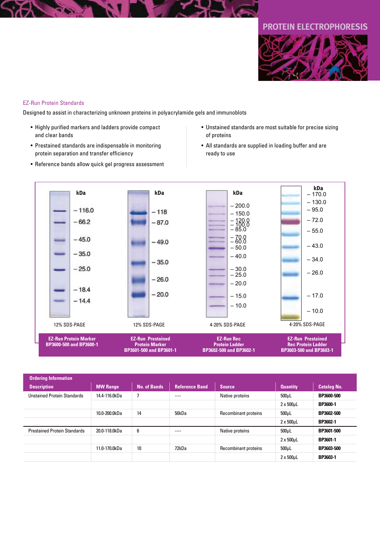# **protein electrophoresis**



## EZ-Run Protein Standards

Designed to assist in characterizing unknown proteins in polyacrylamide gels and immunoblots

- • Highly purified markers and ladders provide compact and clear bands
- Prestained standards are indispensable in monitoring protein separation and transfer efficiency
- Reference bands allow quick gel progress assessment
- • Unstained standards are most suitable for precise sizing of proteins
- All standards are supplied in loading buffer and are ready to use



| <b>Ordering Information</b>         |                 |                     |                       |                             |                   |                    |
|-------------------------------------|-----------------|---------------------|-----------------------|-----------------------------|-------------------|--------------------|
| <b>Description</b>                  | <b>MW Range</b> | <b>No. of Bands</b> | <b>Reference Band</b> | <b>Source</b>               | <b>Quantity</b>   | <b>Catalog No.</b> |
| <b>Unstained Protein Standards</b>  | 14.4-116.0kDa   |                     | ----                  | Native proteins             | $500 \mu L$       | BP3600-500         |
|                                     |                 |                     |                       |                             | $2 \times 500$ µL | <b>BP3600-1</b>    |
|                                     | 10.0-200.0kDa   | 14                  | 50kDa                 | Recombinant proteins        | 500 <sub>µ</sub>  | BP3602-500         |
|                                     |                 |                     |                       |                             | $2 \times 500$ µL | BP3602-1           |
| <b>Prestained Protein Standards</b> | 20.0-118.0kDa   | 6                   | $---$                 | Native proteins             | $500 \mu L$       | BP3601-500         |
|                                     |                 |                     |                       |                             | $2 \times 500$ µL | BP3601-1           |
|                                     | 11.0-170.0kDa   | 10                  | 72kDa                 | <b>Recombinant proteins</b> | $500 \mu L$       | BP3603-500         |
|                                     |                 |                     |                       |                             | $2 \times 500$ µL | BP3603-1           |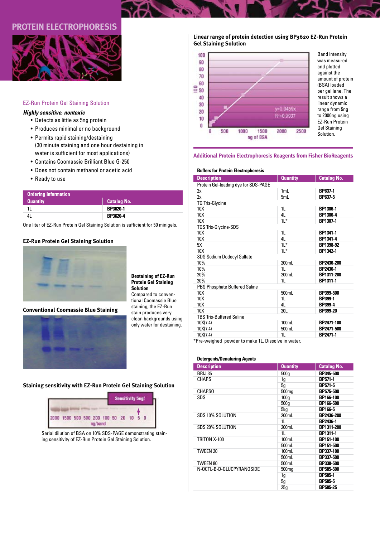# **protein electrophoresis**



# EZ-Run Protein Gel Staining Solution

# *Highly sensitive, nontoxic*

- • Detects as little as 5ng protein
- Produces minimal or no background
- Permits rapid staining/destaining (30 minute staining and one hour destaining in water is sufficient for most applications)
- Contains Coomassie Brilliant Blue G-250
- • Does not contain methanol or acetic acid
- Ready to use

| Ordering Information |                    |
|----------------------|--------------------|
| <b>Quantity</b>      | <b>Catalog No.</b> |
|                      | <b>BP3620-1</b>    |
|                      | <b>BP3620-4</b>    |

One liter of EZ-Run Protein Gel Staining Solution is sufficient for 50 minigels.

# **EZ-Run Protein Gel Staining Solution**



**Conventional Coomassie Blue Staining**



#### **Destaining of EZ-Run Protein Gel Staining Solution** Compared to conventional Coomassie Blue

staining, the EZ-Run

stain produces very clean backgrounds using only water for destaining.

# **Staining sensitivity with EZ-Run Protein Gel Staining Solution**



Serial dilution of BSA on 10% SDS-PAGE demonstrating staining sensitivity of EZ-Run Protein Gel Staining Solution.

**Linear range of protein detection using BP3620 EZ-Run Protein Gel Staining Solution**



Band intensity was measured and plotted against the amount of protein (BSA) loaded per gel lane. The result shows a linear dynamic range from 5ng to 2000ng using EZ-Run Protein Gel Staining Solution.

## **Additional Protein Electrophoresis Reagents from Fisher BioReagents**

## **Buffers for Protein Electrophoresis**

| <b>Description</b>                                           | <b>Quantity</b> | <b>Catalog No.</b> |
|--------------------------------------------------------------|-----------------|--------------------|
| Protein Gel-loading dye for SDS-PAGE                         |                 |                    |
| 2x                                                           | 1mL             | <b>BP637-1</b>     |
| 2x                                                           | 5mL             | <b>BP637-5</b>     |
| <b>TG Tris-Glycine</b>                                       |                 |                    |
| 10X                                                          | 1 <sub>L</sub>  | BP1306-1           |
| 10X                                                          | 41              | BP1306-4           |
| 10 <sub>X</sub>                                              | $1L^*$          | BP1307-1           |
| <b>TGS Tris-Glycine-SDS</b>                                  |                 |                    |
| 10X                                                          | 1 <sub>L</sub>  | BP1341-1           |
| 10X                                                          | 4L              | BP1341-4           |
| 5X                                                           | $1L^*$          | BP1398-92          |
| 10X                                                          | $1L^*$          | BP1342-1           |
| <b>SDS Sodium Dodecyl Sulfate</b>                            |                 |                    |
| 10%                                                          | 200mL           | BP2436-200         |
| 10%                                                          | 1 <sub>L</sub>  | BP2436-1           |
| 20%                                                          | 200mL           | BP1311-200         |
| 20%                                                          | 1L              | BP1311-1           |
| <b>PBS Phosphate Buffered Saline</b>                         |                 |                    |
| 10X                                                          | 500mL           | BP399-500          |
| 10X                                                          | 1L              | <b>BP399-1</b>     |
| 10X                                                          | 4L              | <b>BP399-4</b>     |
| 10X                                                          | <b>20L</b>      | BP399-20           |
| <b>TBS Tris-Buffered Saline</b>                              |                 |                    |
| 10X(7.4)                                                     | 100mL           | BP2471-100         |
| 10X(7.4)                                                     | 500mL           | BP2471-500         |
| 10X(7.4)                                                     | 1L              | <b>BP2471-1</b>    |
| *Dax contribute a conditional and by 41. Discussed in contra |                 |                    |

\*Pre-weighed powder to make 1L. Dissolve in water.

# **Detergents/Denaturing Agents**

| <b>Description</b>        | <b>Quantity</b>   | <b>Catalog No.</b> |
|---------------------------|-------------------|--------------------|
| <b>BRIJ 35</b>            | 500q              | BP345-500          |
| CHAPS                     | 1g                | <b>BP571-1</b>     |
|                           | 5q                | <b>BP571-5</b>     |
| <b>CHAPSO</b>             | 500 <sub>mq</sub> | <b>BP575-500</b>   |
| SDS                       | 100q              | BP166-100          |
|                           | 500q              | BP166-500          |
|                           | 5kg               | <b>BP166-5</b>     |
| SDS 10% SOLUTION          | 200mL             | BP2436-200         |
|                           | 1L                | <b>BP2436-1</b>    |
| SDS 20% SOLUTION          | 200mL             | BP1311-200         |
|                           | 1L                | BP1311-1           |
| TRITON X-100              | 100mL             | BP151-100          |
|                           | 500mL             | BP151-500          |
| TWEEN 20                  | 100mL             | BP337-100          |
|                           | 500mL             | BP337-500          |
| TWEEN 80                  | 500mL             | BP338-500          |
| N-OCTL-B-D-GLUCPYRANOSIDE | 500 <sub>mq</sub> | BP585-500          |
|                           | 1g                | <b>BP585-1</b>     |
|                           | 5g                | <b>BP585-5</b>     |
|                           | 25q               | <b>BP585-25</b>    |